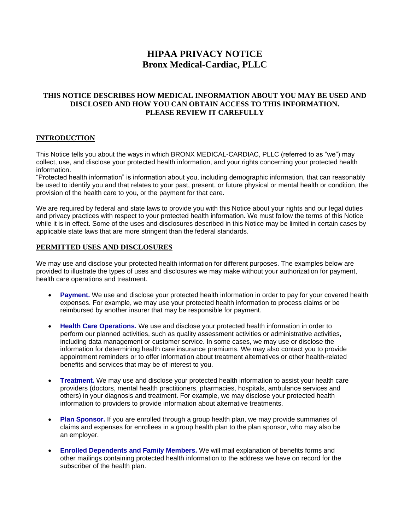# **HIPAA PRIVACY NOTICE Bronx Medical-Cardiac, PLLC**

## **THIS NOTICE DESCRIBES HOW MEDICAL INFORMATION ABOUT YOU MAY BE USED AND DISCLOSED AND HOW YOU CAN OBTAIN ACCESS TO THIS INFORMATION. PLEASE REVIEW IT CAREFULLY**

## **INTRODUCTION**

This Notice tells you about the ways in which BRONX MEDICAL-CARDIAC, PLLC (referred to as "we") may collect, use, and disclose your protected health information, and your rights concerning your protected health information.

"Protected health information" is information about you, including demographic information, that can reasonably be used to identify you and that relates to your past, present, or future physical or mental health or condition, the provision of the health care to you, or the payment for that care.

We are required by federal and state laws to provide you with this Notice about your rights and our legal duties and privacy practices with respect to your protected health information. We must follow the terms of this Notice while it is in effect. Some of the uses and disclosures described in this Notice may be limited in certain cases by applicable state laws that are more stringent than the federal standards.

#### **PERMITTED USES AND DISCLOSURES**

We may use and disclose your protected health information for different purposes. The examples below are provided to illustrate the types of uses and disclosures we may make without your authorization for payment, health care operations and treatment.

- **Payment.** We use and disclose your protected health information in order to pay for your covered health expenses. For example, we may use your protected health information to process claims or be reimbursed by another insurer that may be responsible for payment.
- **Health Care Operations.** We use and disclose your protected health information in order to perform our planned activities, such as quality assessment activities or administrative activities, including data management or customer service. In some cases, we may use or disclose the information for determining health care insurance premiums. We may also contact you to provide appointment reminders or to offer information about treatment alternatives or other health-related benefits and services that may be of interest to you.
- **Treatment.** We may use and disclose your protected health information to assist your health care providers (doctors, mental health practitioners, pharmacies, hospitals, ambulance services and others) in your diagnosis and treatment. For example, we may disclose your protected health information to providers to provide information about alternative treatments.
- **Plan Sponsor.** If you are enrolled through a group health plan, we may provide summaries of claims and expenses for enrollees in a group health plan to the plan sponsor, who may also be an employer.
- **Enrolled Dependents and Family Members.** We will mail explanation of benefits forms and other mailings containing protected health information to the address we have on record for the subscriber of the health plan.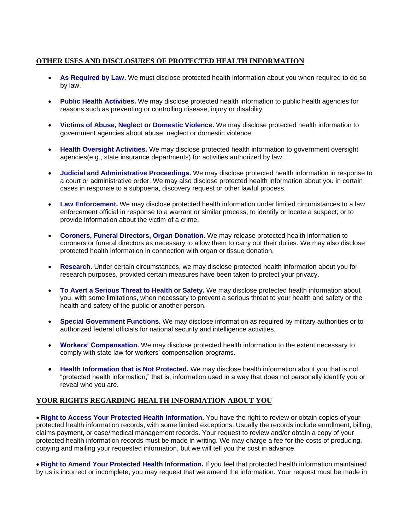## **OTHER USES AND DISCLOSURES OF PROTECTED HEALTH INFORMATION**

- **As Required by Law.** We must disclose protected health information about you when required to do so by law.
- **Public Health Activities.** We may disclose protected health information to public health agencies for reasons such as preventing or controlling disease, injury or disability
- **Victims of Abuse, Neglect or Domestic Violence.** We may disclose protected health information to government agencies about abuse, neglect or domestic violence.
- **Health Oversight Activities.** We may disclose protected health information to government oversight agencies(e.g., state insurance departments) for activities authorized by law.
- **Judicial and Administrative Proceedings.** We may disclose protected health information in response to a court or administrative order. We may also disclose protected health information about you in certain cases in response to a subpoena, discovery request or other lawful process.
- **Law Enforcement.** We may disclose protected health information under limited circumstances to a law enforcement official in response to a warrant or similar process; to identify or locate a suspect; or to provide information about the victim of a crime.
- **Coroners, Funeral Directors, Organ Donation.** We may release protected health information to coroners or funeral directors as necessary to allow them to carry out their duties. We may also disclose protected health information in connection with organ or tissue donation.
- **Research.** Under certain circumstances, we may disclose protected health information about you for research purposes, provided certain measures have been taken to protect your privacy.
- **To Avert a Serious Threat to Health or Safety.** We may disclose protected health information about you, with some limitations, when necessary to prevent a serious threat to your health and safety or the health and safety of the public or another person.
- **Special Government Functions.** We may disclose information as required by military authorities or to authorized federal officials for national security and intelligence activities.
- **Workers' Compensation.** We may disclose protected health information to the extent necessary to comply with state law for workers' compensation programs.
- **Health Information that is Not Protected.** We may disclose health information about you that is not "protected health information;" that is, information used in a way that does not personally identify you or reveal who you are.

### **YOUR RIGHTS REGARDING HEALTH INFORMATION ABOUT YOU**

**Right to Access Your Protected Health Information.** You have the right to review or obtain copies of your protected health information records, with some limited exceptions. Usually the records include enrollment, billing, claims payment, or case/medical management records. Your request to review and/or obtain a copy of your protected health information records must be made in writing. We may charge a fee for the costs of producing, copying and mailing your requested information, but we will tell you the cost in advance.

**Right to Amend Your Protected Health Information.** If you feel that protected health information maintained by us is incorrect or incomplete, you may request that we amend the information. Your request must be made in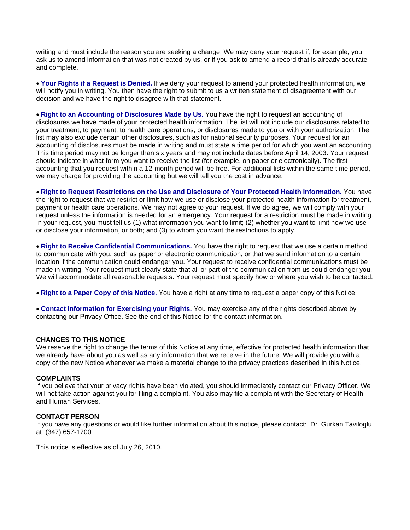writing and must include the reason you are seeking a change. We may deny your request if, for example, you ask us to amend information that was not created by us, or if you ask to amend a record that is already accurate and complete.

**Your Rights if a Request is Denied.** If we deny your request to amend your protected health information, we will notify you in writing. You then have the right to submit to us a written statement of disagreement with our decision and we have the right to disagree with that statement.

**Right to an Accounting of Disclosures Made by Us.** You have the right to request an accounting of disclosures we have made of your protected health information. The list will not include our disclosures related to your treatment, to payment, to health care operations, or disclosures made to you or with your authorization. The list may also exclude certain other disclosures, such as for national security purposes. Your request for an accounting of disclosures must be made in writing and must state a time period for which you want an accounting. This time period may not be longer than six years and may not include dates before April 14, 2003. Your request should indicate in what form you want to receive the list (for example, on paper or electronically). The first accounting that you request within a 12-month period will be free. For additional lists within the same time period, we may charge for providing the accounting but we will tell you the cost in advance.

**Right to Request Restrictions on the Use and Disclosure of Your Protected Health Information.** You have the right to request that we restrict or limit how we use or disclose your protected health information for treatment, payment or health care operations. We may not agree to your request. If we do agree, we will comply with your request unless the information is needed for an emergency. Your request for a restriction must be made in writing. In your request, you must tell us (1) what information you want to limit; (2) whether you want to limit how we use or disclose your information, or both; and (3) to whom you want the restrictions to apply.

**Right to Receive Confidential Communications.** You have the right to request that we use a certain method to communicate with you, such as paper or electronic communication, or that we send information to a certain location if the communication could endanger you. Your request to receive confidential communications must be made in writing. Your request must clearly state that all or part of the communication from us could endanger you. We will accommodate all reasonable requests. Your request must specify how or where you wish to be contacted.

**Right to a Paper Copy of this Notice.** You have a right at any time to request a paper copy of this Notice.

**Contact Information for Exercising your Rights.** You may exercise any of the rights described above by contacting our Privacy Office. See the end of this Notice for the contact information.

#### **CHANGES TO THIS NOTICE**

We reserve the right to change the terms of this Notice at any time, effective for protected health information that we already have about you as well as any information that we receive in the future. We will provide you with a copy of the new Notice whenever we make a material change to the privacy practices described in this Notice.

#### **COMPLAINTS**

If you believe that your privacy rights have been violated, you should immediately contact our Privacy Officer. We will not take action against you for filing a complaint. You also may file a complaint with the Secretary of Health and Human Services.

#### **CONTACT PERSON**

If you have any questions or would like further information about this notice, please contact: Dr. Gurkan Taviloglu at: (347) 657-1700

This notice is effective as of July 26, 2010.